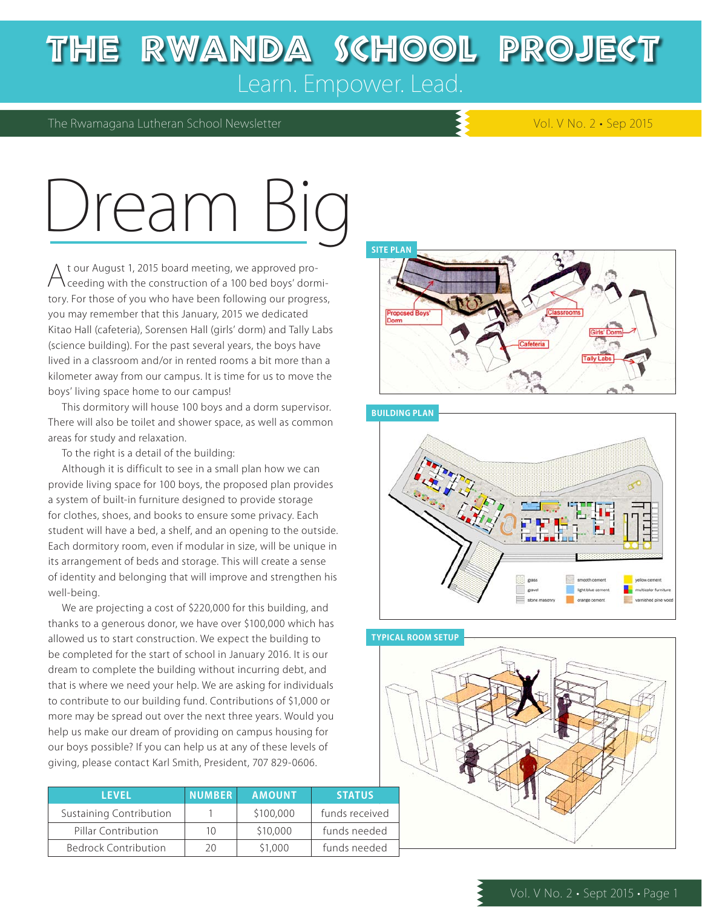### The Rwanda School Project Learn. Empower. Lead.

### The Rwamagana Lutheran School Newsletter Vol. V No. 2 • Sep 2015

# Dream

At our August 1, 2015 board meeting, we approved pro-ceeding with the construction of a 100 bed boys' dormitory. For those of you who have been following our progress, you may remember that this January, 2015 we dedicated Kitao Hall (cafeteria), Sorensen Hall (girls' dorm) and Tally Labs (science building). For the past several years, the boys have lived in a classroom and/or in rented rooms a bit more than a kilometer away from our campus. It is time for us to move the boys' living space home to our campus!

This dormitory will house 100 boys and a dorm supervisor. There will also be toilet and shower space, as well as common areas for study and relaxation.

To the right is a detail of the building:

Although it is difficult to see in a small plan how we can provide living space for 100 boys, the proposed plan provides a system of built-in furniture designed to provide storage for clothes, shoes, and books to ensure some privacy. Each student will have a bed, a shelf, and an opening to the outside. Each dormitory room, even if modular in size, will be unique in its arrangement of beds and storage. This will create a sense of identity and belonging that will improve and strengthen his well-being.

We are projecting a cost of \$220,000 for this building, and thanks to a generous donor, we have over \$100,000 which has allowed us to start construction. We expect the building to be completed for the start of school in January 2016. It is our dream to complete the building without incurring debt, and that is where we need your help. We are asking for individuals to contribute to our building fund. Contributions of \$1,000 or more may be spread out over the next three years. Would you help us make our dream of providing on campus housing for our boys possible? If you can help us at any of these levels of giving, please contact Karl Smith, President, 707 829-0606.

| <b>LEVEL</b>                   | <b>NUMBER</b> | <b>AMOUNT</b> | <b>STATUS</b>  |
|--------------------------------|---------------|---------------|----------------|
| <b>Sustaining Contribution</b> |               | \$100,000     | funds received |
| Pillar Contribution            | 10            | \$10,000      | funds needed   |
| <b>Bedrock Contribution</b>    | 2Ο            | \$1,000       | funds needed   |

#### **SITE PLAN**





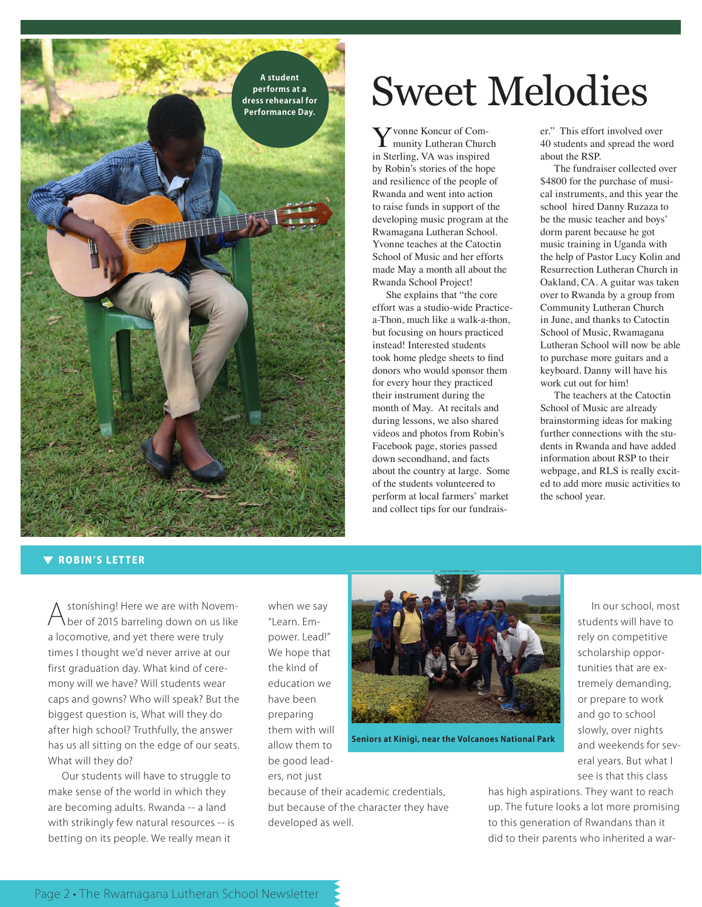**performs at a dress rehearsal for Performance Day.**

#### **V ROBIN'S LETTER**

Astonishing! Here we are with Novem-ber of 2015 barreling down on us like a locomotive, and yet there were truly times I thought we'd never arrive at our first graduation day. What kind of ceremony will we have? Will students wear caps and gowns? Who will speak? But the biggest question is, What will they do after high school? Truthfully, the answer has us all sitting on the edge of our seats. What will they do?

Our students will have to struggle to make sense of the world in which they are becoming adults. Rwanda -- a land with strikingly few natural resources -- is betting on its people. We really mean it

when we say "Learn. Empower. Lead!" We hope that the kind of education we have been preparing them with will allow them to be good leaders, not just



**Seniors at Kinigi, near the Volcanoes National Park**

because of their academic credentials, but because of the character they have developed as well.

A student and **A student and a set SWeet Melodies** 

Yvonne Koncur of Com-munity Lutheran Church in Sterling, VA was inspired by Robin's stories of the hope and resilience of the people of Rwanda and went into action to raise funds in support of the developing music program at the Rwamagana Lutheran School. Yvonne teaches at the Catoctin School of Music and her efforts made May a month all about the Rwanda School Project!

She explains that "the core effort was a studio-wide Practicea-Thon, much like a walk-a-thon, but focusing on hours practiced instead! Interested students took home pledge sheets to find donors who would sponsor them for every hour they practiced their instrument during the month of May. At recitals and during lessons, we also shared videos and photos from Robin's Facebook page, stories passed down secondhand, and facts about the country at large. Some of the students volunteered to perform at local farmers' market and collect tips for our fundraiser." This effort involved over 40 students and spread the word about the RSP.

The fundraiser collected over \$4800 for the purchase of musical instruments, and this year the school hired Danny Ruzaza to be the music teacher and boys' dorm parent because he got music training in Uganda with the help of Pastor Lucy Kolin and Resurrection Lutheran Church in Oakland, CA. A guitar was taken over to Rwanda by a group from Community Lutheran Church in June, and thanks to Catoctin School of Music, Rwamagana Lutheran School will now be able to purchase more guitars and a keyboard. Danny will have his work cut out for him!

The teachers at the Catoctin School of Music are already brainstorming ideas for making further connections with the students in Rwanda and have added information about RSP to their webpage, and RLS is really excited to add more music activities to the school year.

> In our school, most students will have to rely on competitive scholarship opportunities that are extremely demanding, or prepare to work and go to school slowly, over nights and weekends for several years. But what I see is that this class

has high aspirations. They want to reach up. The future looks a lot more promising to this generation of Rwandans than it did to their parents who inherited a war-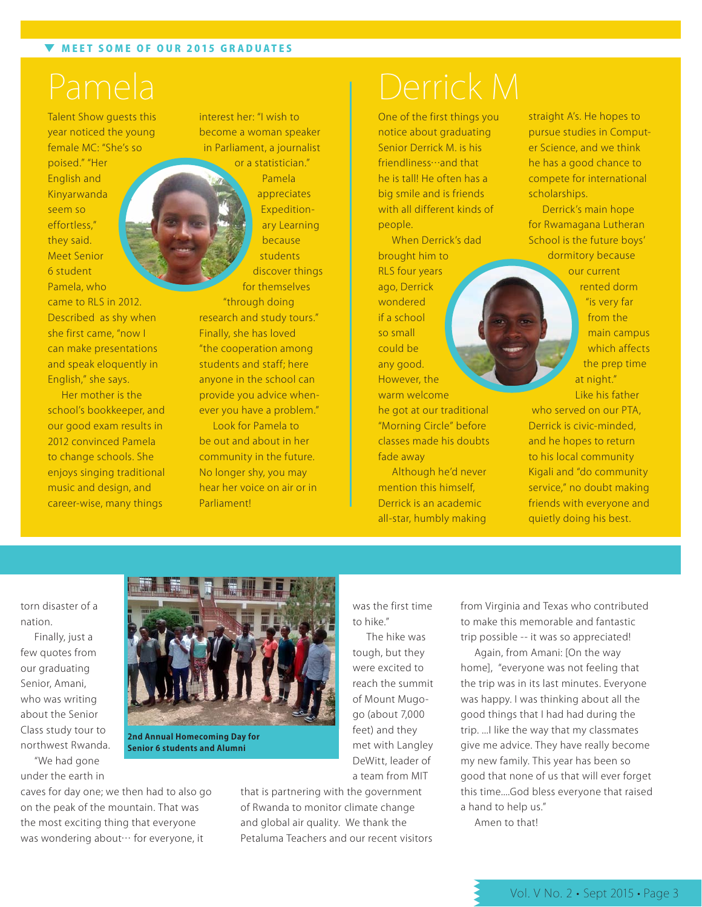Talent Show guests this year noticed the young female MC: "She's so poised." "Her English and Kinyarwanda seem so effortless," they said. Meet Senior 6 student Pamela, who came to RLS in 2012. Described as shy when she first came, "now I can make presentations and speak eloquently in English," she says.

Her mother is the school's bookkeeper, and our good exam results in 2012 convinced Pamela to change schools. She enjoys singing traditional music and design, and career-wise, many things

interest her: "I wish to become a woman speaker in Parliament, a journalist or a statistician."

Pamela appreciates Expeditionary Learning because students discover things for themselves

"through doing research and study tours." Finally, she has loved "the cooperation among students and staff; here anyone in the school can provide you advice whenever you have a problem."

Look for Pamela to be out and about in her community in the future. No longer shy, you may hear her voice on air or in Parliament!

### Pamela **Derrick M**

One of the first things you notice about graduating Senior Derrick M. is his friendliness…and that he is tall! He often has a big smile and is friends with all different kinds of people.

When Derrick's dad brought him to RLS four years ago, Derrick wondered if a school so small could be any good. However, the warm welcome he got at our traditional "Morning Circle" before classes made his doubts fade away

Although he'd never mention this himself, Derrick is an academic all-star, humbly making

straight A's. He hopes to pursue studies in Computer Science, and we think he has a good chance to compete for international scholarships.

Derrick's main hope for Rwamagana Lutheran School is the future boys' dormitory because our current rented dorm "is very far from the main campus which affects the prep time at night." Like his father

who served on our PTA, Derrick is civic-minded, and he hopes to return to his local community Kigali and "do community service," no doubt making friends with everyone and quietly doing his best.

torn disaster of a nation.

Finally, just a few quotes from our graduating Senior, Amani, who was writing about the Senior Class study tour to northwest Rwanda.

"We had gone under the earth in

caves for day one; we then had to also go on the peak of the mountain. That was the most exciting thing that everyone was wondering about… for everyone, it



**Senior 6 students and Alumni**

that is partnering with the government of Rwanda to monitor climate change and global air quality. We thank the Petaluma Teachers and our recent visitors

was the first time to hike."

The hike was tough, but they were excited to reach the summit of Mount Mugogo (about 7,000 feet) and they met with Langley DeWitt, leader of a team from MIT

from Virginia and Texas who contributed to make this memorable and fantastic trip possible -- it was so appreciated!

Again, from Amani: [On the way home], "everyone was not feeling that the trip was in its last minutes. Everyone was happy. I was thinking about all the good things that I had had during the trip. ...I like the way that my classmates give me advice. They have really become my new family. This year has been so good that none of us that will ever forget this time....God bless everyone that raised a hand to help us."

Amen to that!